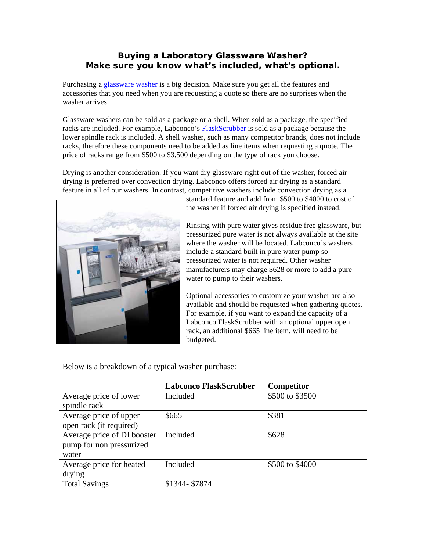## **Buying a Laboratory Glassware Washer? Make sure you know what's included, what's optional.**

Purchasing a [glassware washer](http://www.labconco.com/_scripts/editc20.asp?CatID=6) is a big decision. Make sure you get all the features and accessories that you need when you are requesting a quote so there are no surprises when the washer arrives.

Glassware washers can be sold as a package or a shell. When sold as a package, the specified racks are included. For example, Labconco's [FlaskScrubber](http://www.labconco.com/_scripts/editc25.asp?catid=18) is sold as a package because the lower spindle rack is included. A shell washer, such as many competitor brands, does not include racks, therefore these components need to be added as line items when requesting a quote. The price of racks range from \$500 to \$3,500 depending on the type of rack you choose.

Drying is another consideration. If you want dry glassware right out of the washer, forced air drying is preferred over convection drying. Labconco offers forced air drying as a standard feature in all of our washers. In contrast, competitive washers include convection drying as a



standard feature and add from \$500 to \$4000 to cost of the washer if forced air drying is specified instead.

Rinsing with pure water gives residue free glassware, but pressurized pure water is not always available at the site where the washer will be located. Labconco's washers include a standard built in pure water pump so pressurized water is not required. Other washer manufacturers may charge \$628 or more to add a pure water to pump to their washers.

Optional accessories to customize your washer are also available and should be requested when gathering quotes. For example, if you want to expand the capacity of a Labconco FlaskScrubber with an optional upper open rack, an additional \$665 line item, will need to be budgeted.

Below is a breakdown of a typical washer purchase:

|                             | <b>Labconco FlaskScrubber</b> | Competitor      |
|-----------------------------|-------------------------------|-----------------|
| Average price of lower      | Included                      | \$500 to \$3500 |
| spindle rack                |                               |                 |
| Average price of upper      | \$665                         | \$381           |
| open rack (if required)     |                               |                 |
| Average price of DI booster | Included                      | \$628           |
| pump for non pressurized    |                               |                 |
| water                       |                               |                 |
| Average price for heated    | Included                      | \$500 to \$4000 |
| drying                      |                               |                 |
| <b>Total Savings</b>        | \$1344-\$7874                 |                 |